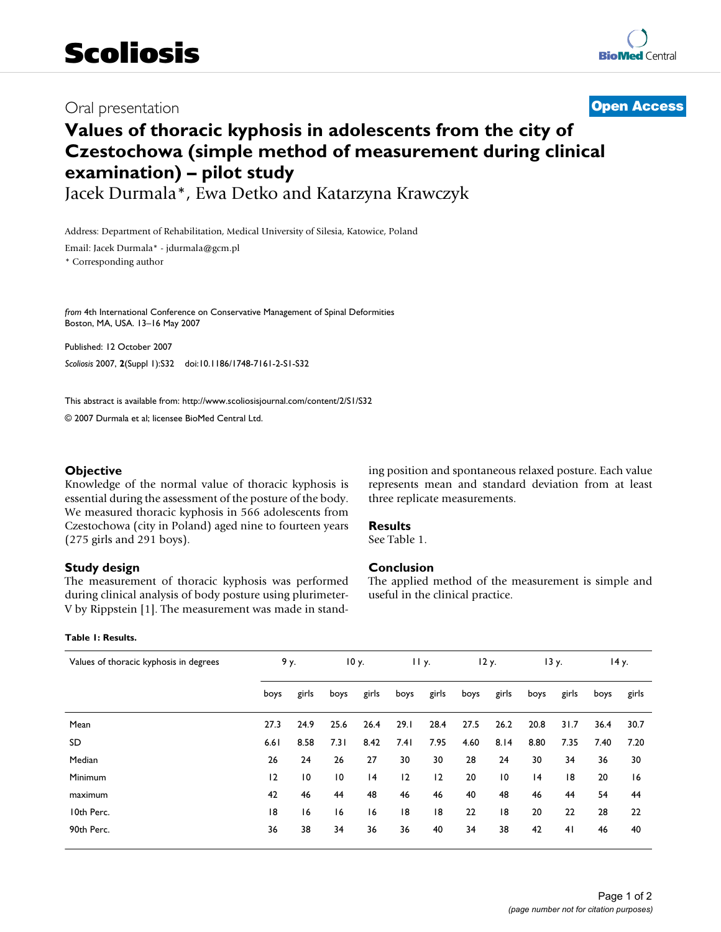## Oral presentation **[Open Access](http://www.biomedcentral.com/info/about/charter/)**

# **Values of thoracic kyphosis in adolescents from the city of Czestochowa (simple method of measurement during clinical examination) – pilot study**

Jacek Durmala\*, Ewa Detko and Katarzyna Krawczyk

Address: Department of Rehabilitation, Medical University of Silesia, Katowice, Poland

Email: Jacek Durmala\* - jdurmala@gcm.pl

\* Corresponding author

*from* 4th International Conference on Conservative Management of Spinal Deformities Boston, MA, USA. 13–16 May 2007

Published: 12 October 2007 *Scoliosis* 2007, **2**(Suppl 1):S32 doi:10.1186/1748-7161-2-S1-S32

[This abstract is available from: http://www.scoliosisjournal.com/content/2/S1/S32](http://www.scoliosisjournal.com/content/2/S1/S32)

© 2007 Durmala et al; licensee BioMed Central Ltd.

#### **Objective**

Knowledge of the normal value of thoracic kyphosis is essential during the assessment of the posture of the body. We measured thoracic kyphosis in 566 adolescents from Czestochowa (city in Poland) aged nine to fourteen years (275 girls and 291 boys).

#### **Study design**

The measurement of thoracic kyphosis was performed during clinical analysis of body posture using plurimeter-V by Rippstein [1]. The measurement was made in stand-

#### **Table 1: Results.**

ing position and spontaneous relaxed posture. Each value represents mean and standard deviation from at least three replicate measurements.

### **Results**

See Table 1.

#### **Conclusion**

The applied method of the measurement is simple and useful in the clinical practice.

| Values of thoracic kyphosis in degrees |      | 9у.             |                 | 10 y. |      | 11y.  |      | 12 y. |      | 13 y. |      | 14 y. |  |
|----------------------------------------|------|-----------------|-----------------|-------|------|-------|------|-------|------|-------|------|-------|--|
|                                        | boys | girls           | boys            | girls | boys | girls | boys | girls | boys | girls | boys | girls |  |
| Mean                                   | 27.3 | 24.9            | 25.6            | 26.4  | 29.1 | 28.4  | 27.5 | 26.2  | 20.8 | 31.7  | 36.4 | 30.7  |  |
| SD.                                    | 6.61 | 8.58            | 7.31            | 8.42  | 7.41 | 7.95  | 4.60 | 8.14  | 8.80 | 7.35  | 7.40 | 7.20  |  |
| Median                                 | 26   | 24              | 26              | 27    | 30   | 30    | 28   | 24    | 30   | 34    | 36   | 30    |  |
| Minimum                                | 12   | $\overline{10}$ | $\overline{10}$ | 4     | 12   | 12    | 20   | 10    | 4    | 18    | 20   | 16    |  |
| maximum                                | 42   | 46              | 44              | 48    | 46   | 46    | 40   | 48    | 46   | 44    | 54   | 44    |  |
| 10th Perc.                             | 18   | 16              | 16              | 16    | 18   | 18    | 22   | 18    | 20   | 22    | 28   | 22    |  |
| 90th Perc.                             | 36   | 38              | 34              | 36    | 36   | 40    | 34   | 38    | 42   | 41    | 46   | 40    |  |